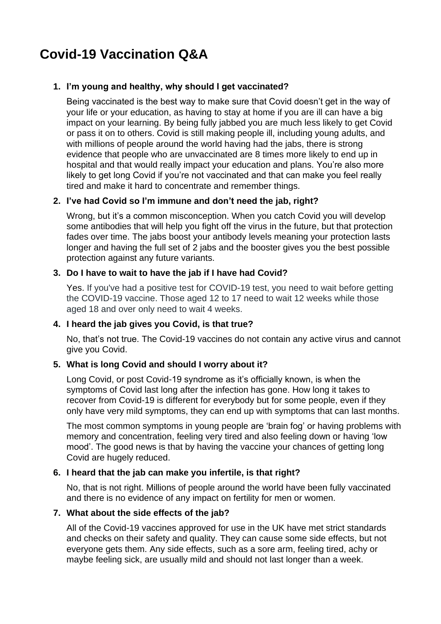# **Covid-19 Vaccination Q&A**

# **1. I'm young and healthy, why should I get vaccinated?**

Being vaccinated is the best way to make sure that Covid doesn't get in the way of your life or your education, as having to stay at home if you are ill can have a big impact on your learning. By being fully jabbed you are much less likely to get Covid or pass it on to others. Covid is still making people ill, including young adults, and with millions of people around the world having had the jabs, there is strong evidence that people who are unvaccinated are 8 times more likely to end up in hospital and that would really impact your education and plans. You're also more likely to get long Covid if you're not vaccinated and that can make you feel really tired and make it hard to concentrate and remember things.

# **2. I've had Covid so I'm immune and don't need the jab, right?**

Wrong, but it's a common misconception. When you catch Covid you will develop some antibodies that will help you fight off the virus in the future, but that protection fades over time. The jabs boost your antibody levels meaning your protection lasts longer and having the full set of 2 jabs and the booster gives you the best possible protection against any future variants.

## **3. Do I have to wait to have the jab if I have had Covid?**

Yes. If you've had a positive test for COVID-19 test, you need to wait before getting the COVID-19 vaccine. Those aged 12 to 17 need to wait 12 weeks while those aged 18 and over only need to wait 4 weeks.

## **4. I heard the jab gives you Covid, is that true?**

No, that's not true. The Covid-19 vaccines do not contain any active virus and cannot give you Covid.

## **5. What is long Covid and should I worry about it?**

Long Covid, or post Covid-19 syndrome as it's officially known, is when the symptoms of Covid last long after the infection has gone. How long it takes to recover from Covid-19 is different for everybody but for some people, even if they only have very mild symptoms, they can end up with symptoms that can last months.

The most common symptoms in young people are 'brain fog' or having problems with memory and concentration, feeling very tired and also feeling down or having 'low mood'. The good news is that by having the vaccine your chances of getting long Covid are hugely reduced.

# **6. I heard that the jab can make you infertile, is that right?**

No, that is not right. Millions of people around the world have been fully vaccinated and there is no evidence of any impact on fertility for men or women.

## **7. What about the side effects of the jab?**

All of the Covid-19 vaccines approved for use in the UK have met strict standards and checks on their safety and quality. They can cause some side effects, but not everyone gets them. Any side effects, such as a sore arm, feeling tired, achy or maybe feeling sick, are usually mild and should not last longer than a week.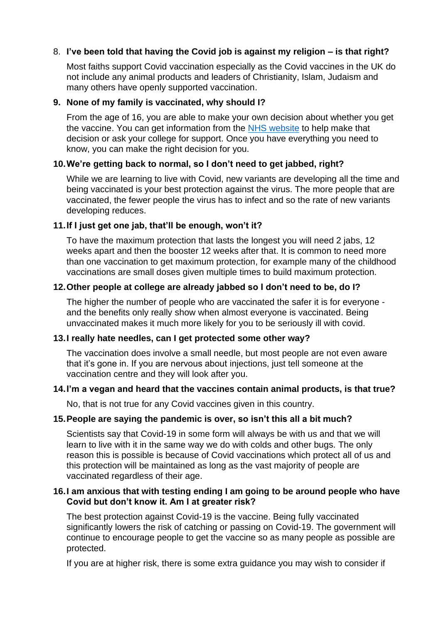# 8. **I've been told that having the Covid job is against my religion – is that right?**

Most faiths support Covid vaccination especially as the Covid vaccines in the UK do not include any animal products and leaders of Christianity, Islam, Judaism and many others have openly supported vaccination.

## **9. None of my family is vaccinated, why should I?**

From the age of 16, you are able to make your own decision about whether you get the vaccine. You can get information from the [NHS website](https://www.nhs.uk/conditions/coronavirus-covid-19/coronavirus-vaccination/book-coronavirus-vaccination/) to help make that decision or ask your college for support. Once you have everything you need to know, you can make the right decision for you.

## **10.We're getting back to normal, so I don't need to get jabbed, right?**

While we are learning to live with Covid, new variants are developing all the time and being vaccinated is your best protection against the virus. The more people that are vaccinated, the fewer people the virus has to infect and so the rate of new variants developing reduces.

#### **11.If I just get one jab, that'll be enough, won't it?**

To have the maximum protection that lasts the longest you will need 2 jabs, 12 weeks apart and then the booster 12 weeks after that. It is common to need more than one vaccination to get maximum protection, for example many of the childhood vaccinations are small doses given multiple times to build maximum protection.

#### **12.Other people at college are already jabbed so I don't need to be, do I?**

The higher the number of people who are vaccinated the safer it is for everyone and the benefits only really show when almost everyone is vaccinated. Being unvaccinated makes it much more likely for you to be seriously ill with covid.

#### **13.I really hate needles, can I get protected some other way?**

The vaccination does involve a small needle, but most people are not even aware that it's gone in. If you are nervous about injections, just tell someone at the vaccination centre and they will look after you.

#### **14.I'm a vegan and heard that the vaccines contain animal products, is that true?**

No, that is not true for any Covid vaccines given in this country.

## **15.People are saying the pandemic is over, so isn't this all a bit much?**

Scientists say that Covid-19 in some form will always be with us and that we will learn to live with it in the same way we do with colds and other bugs. The only reason this is possible is because of Covid vaccinations which protect all of us and this protection will be maintained as long as the vast majority of people are vaccinated regardless of their age.

#### **16.I am anxious that with testing ending I am going to be around people who have Covid but don't know it. Am I at greater risk?**

The best protection against Covid-19 is the vaccine. Being fully vaccinated significantly lowers the risk of catching or passing on Covid-19. The government will continue to encourage people to get the vaccine so as many people as possible are protected.

If you are at higher risk, there is some extra guidance you may wish to consider if